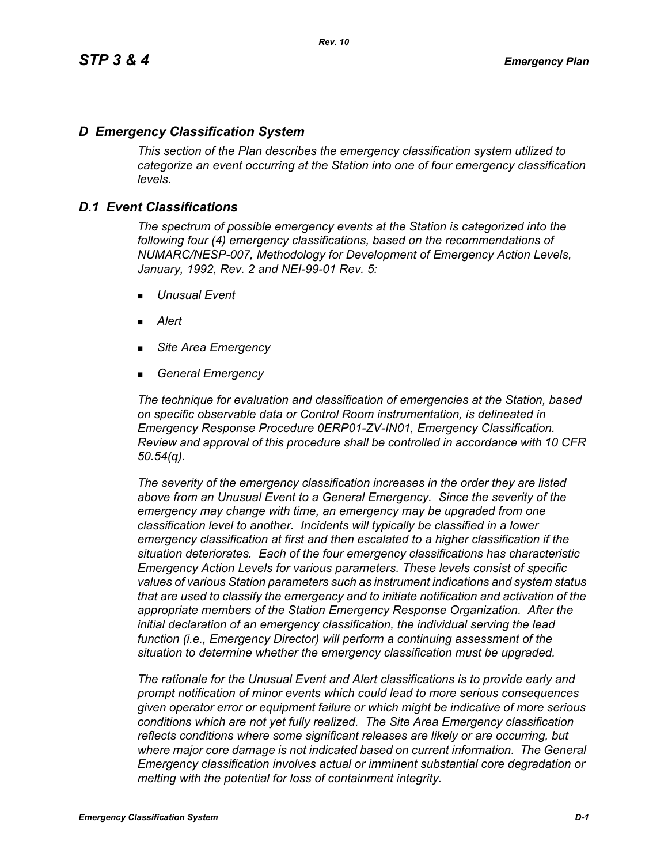# *D Emergency Classification System*

*This section of the Plan describes the emergency classification system utilized to categorize an event occurring at the Station into one of four emergency classification levels.*

# *D.1 Event Classifications*

*The spectrum of possible emergency events at the Station is categorized into the following four (4) emergency classifications, based on the recommendations of NUMARC/NESP-007, Methodology for Development of Emergency Action Levels, January, 1992, Rev. 2 and NEI-99-01 Rev. 5:*

- *Unusual Event*
- *Alert*
- *Site Area Emergency*
- *General Emergency*

*The technique for evaluation and classification of emergencies at the Station, based on specific observable data or Control Room instrumentation, is delineated in Emergency Response Procedure 0ERP01-ZV-IN01, Emergency Classification. Review and approval of this procedure shall be controlled in accordance with 10 CFR 50.54(q).*

*The severity of the emergency classification increases in the order they are listed above from an Unusual Event to a General Emergency. Since the severity of the emergency may change with time, an emergency may be upgraded from one classification level to another. Incidents will typically be classified in a lower emergency classification at first and then escalated to a higher classification if the situation deteriorates. Each of the four emergency classifications has characteristic Emergency Action Levels for various parameters. These levels consist of specific values of various Station parameters such as instrument indications and system status that are used to classify the emergency and to initiate notification and activation of the appropriate members of the Station Emergency Response Organization. After the initial declaration of an emergency classification, the individual serving the lead function (i.e., Emergency Director) will perform a continuing assessment of the situation to determine whether the emergency classification must be upgraded.*

*The rationale for the Unusual Event and Alert classifications is to provide early and prompt notification of minor events which could lead to more serious consequences given operator error or equipment failure or which might be indicative of more serious conditions which are not yet fully realized. The Site Area Emergency classification reflects conditions where some significant releases are likely or are occurring, but*  where major core damage is not indicated based on current information. The General *Emergency classification involves actual or imminent substantial core degradation or melting with the potential for loss of containment integrity.*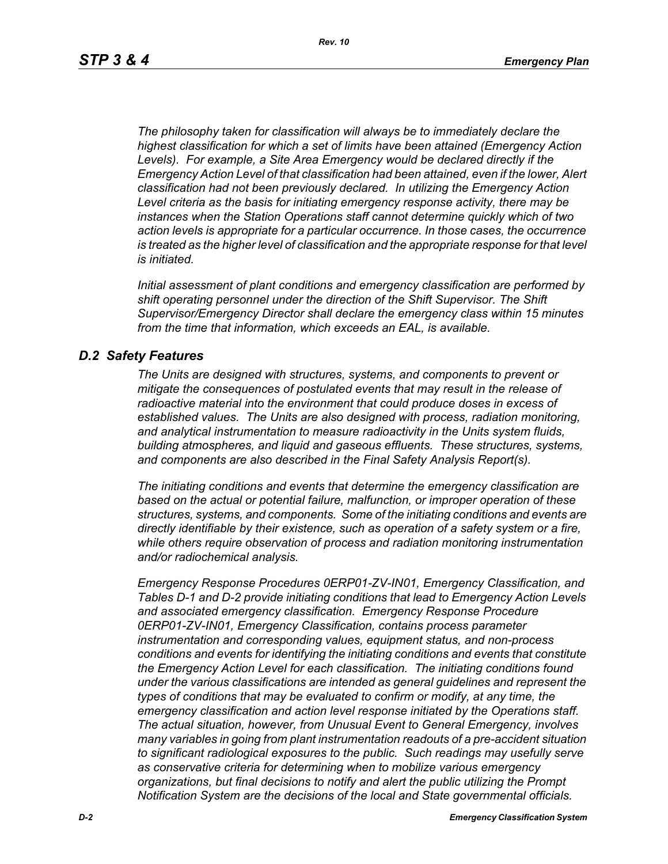*The philosophy taken for classification will always be to immediately declare the highest classification for which a set of limits have been attained (Emergency Action Levels). For example, a Site Area Emergency would be declared directly if the Emergency Action Level of that classification had been attained, even if the lower, Alert classification had not been previously declared. In utilizing the Emergency Action Level criteria as the basis for initiating emergency response activity, there may be instances when the Station Operations staff cannot determine quickly which of two action levels is appropriate for a particular occurrence. In those cases, the occurrence*  is treated as the higher level of classification and the appropriate response for that level *is initiated.*

*Initial assessment of plant conditions and emergency classification are performed by shift operating personnel under the direction of the Shift Supervisor. The Shift Supervisor/Emergency Director shall declare the emergency class within 15 minutes from the time that information, which exceeds an EAL, is available.*

## *D.2 Safety Features*

*The Units are designed with structures, systems, and components to prevent or mitigate the consequences of postulated events that may result in the release of radioactive material into the environment that could produce doses in excess of established values. The Units are also designed with process, radiation monitoring, and analytical instrumentation to measure radioactivity in the Units system fluids, building atmospheres, and liquid and gaseous effluents. These structures, systems, and components are also described in the Final Safety Analysis Report(s).*

*The initiating conditions and events that determine the emergency classification are based on the actual or potential failure, malfunction, or improper operation of these structures, systems, and components. Some of the initiating conditions and events are directly identifiable by their existence, such as operation of a safety system or a fire, while others require observation of process and radiation monitoring instrumentation and/or radiochemical analysis.*

*Emergency Response Procedures 0ERP01-ZV-IN01, Emergency Classification, and Tables D-1 and D-2 provide initiating conditions that lead to Emergency Action Levels and associated emergency classification. Emergency Response Procedure 0ERP01-ZV-IN01, Emergency Classification, contains process parameter instrumentation and corresponding values, equipment status, and non-process conditions and events for identifying the initiating conditions and events that constitute the Emergency Action Level for each classification. The initiating conditions found under the various classifications are intended as general guidelines and represent the types of conditions that may be evaluated to confirm or modify, at any time, the emergency classification and action level response initiated by the Operations staff. The actual situation, however, from Unusual Event to General Emergency, involves many variables in going from plant instrumentation readouts of a pre-accident situation to significant radiological exposures to the public. Such readings may usefully serve as conservative criteria for determining when to mobilize various emergency organizations, but final decisions to notify and alert the public utilizing the Prompt Notification System are the decisions of the local and State governmental officials.*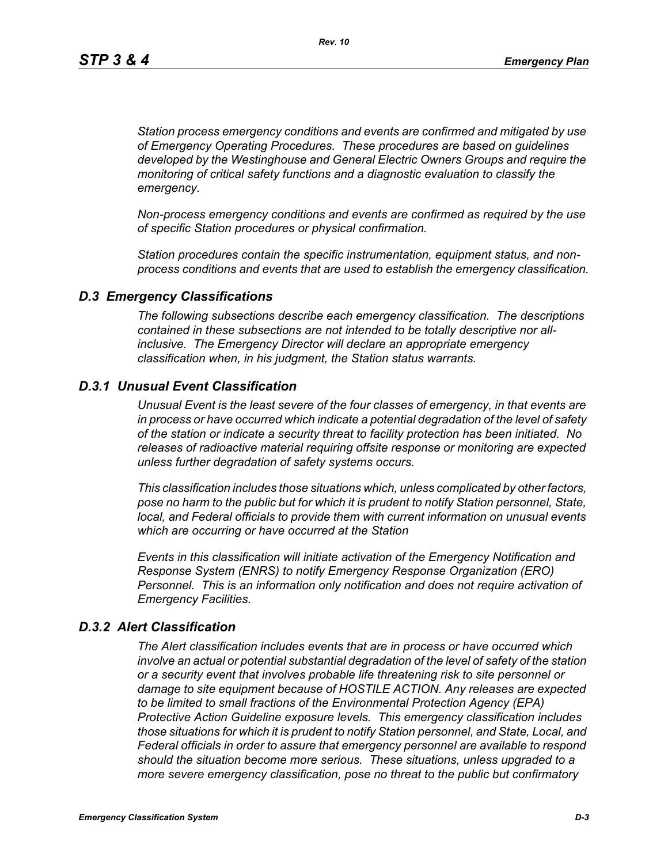*Station process emergency conditions and events are confirmed and mitigated by use of Emergency Operating Procedures. These procedures are based on guidelines developed by the Westinghouse and General Electric Owners Groups and require the monitoring of critical safety functions and a diagnostic evaluation to classify the emergency.*

*Non-process emergency conditions and events are confirmed as required by the use of specific Station procedures or physical confirmation.*

*Station procedures contain the specific instrumentation, equipment status, and nonprocess conditions and events that are used to establish the emergency classification.*

#### *D.3 Emergency Classifications*

*The following subsections describe each emergency classification. The descriptions contained in these subsections are not intended to be totally descriptive nor allinclusive. The Emergency Director will declare an appropriate emergency classification when, in his judgment, the Station status warrants.*

### *D.3.1 Unusual Event Classification*

*Unusual Event is the least severe of the four classes of emergency, in that events are in process or have occurred which indicate a potential degradation of the level of safety of the station or indicate a security threat to facility protection has been initiated. No releases of radioactive material requiring offsite response or monitoring are expected unless further degradation of safety systems occurs.*

*This classification includes those situations which, unless complicated by other factors, pose no harm to the public but for which it is prudent to notify Station personnel, State, local, and Federal officials to provide them with current information on unusual events which are occurring or have occurred at the Station*

*Events in this classification will initiate activation of the Emergency Notification and Response System (ENRS) to notify Emergency Response Organization (ERO) Personnel. This is an information only notification and does not require activation of Emergency Facilities.* 

#### *D.3.2 Alert Classification*

*The Alert classification includes events that are in process or have occurred which involve an actual or potential substantial degradation of the level of safety of the station or a security event that involves probable life threatening risk to site personnel or damage to site equipment because of HOSTILE ACTION. Any releases are expected to be limited to small fractions of the Environmental Protection Agency (EPA) Protective Action Guideline exposure levels. This emergency classification includes those situations for which it is prudent to notify Station personnel, and State, Local, and Federal officials in order to assure that emergency personnel are available to respond should the situation become more serious. These situations, unless upgraded to a more severe emergency classification, pose no threat to the public but confirmatory*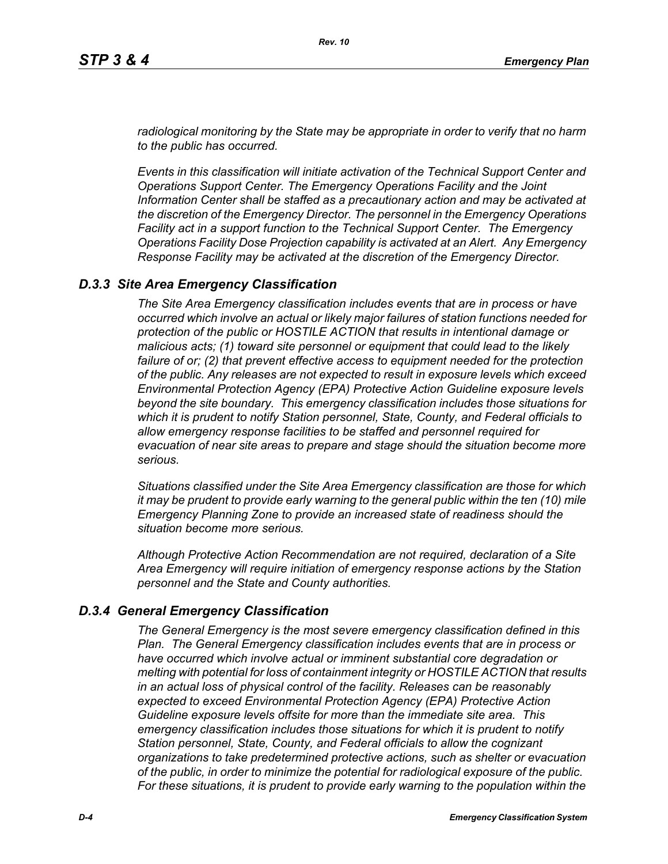*radiological monitoring by the State may be appropriate in order to verify that no harm to the public has occurred.*

*Events in this classification will initiate activation of the Technical Support Center and Operations Support Center. The Emergency Operations Facility and the Joint Information Center shall be staffed as a precautionary action and may be activated at the discretion of the Emergency Director. The personnel in the Emergency Operations Facility act in a support function to the Technical Support Center. The Emergency Operations Facility Dose Projection capability is activated at an Alert. Any Emergency Response Facility may be activated at the discretion of the Emergency Director.*

## *D.3.3 Site Area Emergency Classification*

*The Site Area Emergency classification includes events that are in process or have occurred which involve an actual or likely major failures of station functions needed for protection of the public or HOSTILE ACTION that results in intentional damage or malicious acts; (1) toward site personnel or equipment that could lead to the likely failure of or; (2) that prevent effective access to equipment needed for the protection of the public. Any releases are not expected to result in exposure levels which exceed Environmental Protection Agency (EPA) Protective Action Guideline exposure levels beyond the site boundary. This emergency classification includes those situations for which it is prudent to notify Station personnel, State, County, and Federal officials to allow emergency response facilities to be staffed and personnel required for evacuation of near site areas to prepare and stage should the situation become more serious.* 

*Situations classified under the Site Area Emergency classification are those for which it may be prudent to provide early warning to the general public within the ten (10) mile Emergency Planning Zone to provide an increased state of readiness should the situation become more serious.*

*Although Protective Action Recommendation are not required, declaration of a Site Area Emergency will require initiation of emergency response actions by the Station personnel and the State and County authorities.*

## *D.3.4 General Emergency Classification*

*The General Emergency is the most severe emergency classification defined in this Plan. The General Emergency classification includes events that are in process or have occurred which involve actual or imminent substantial core degradation or melting with potential for loss of containment integrity or HOSTILE ACTION that results in an actual loss of physical control of the facility. Releases can be reasonably expected to exceed Environmental Protection Agency (EPA) Protective Action Guideline exposure levels offsite for more than the immediate site area. This emergency classification includes those situations for which it is prudent to notify Station personnel, State, County, and Federal officials to allow the cognizant organizations to take predetermined protective actions, such as shelter or evacuation of the public, in order to minimize the potential for radiological exposure of the public. For these situations, it is prudent to provide early warning to the population within the*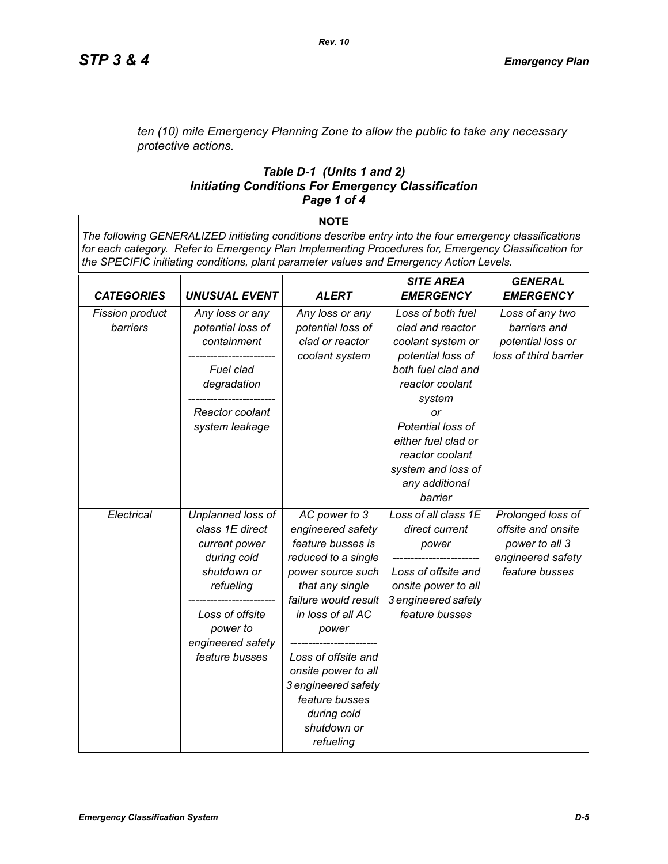*ten (10) mile Emergency Planning Zone to allow the public to take any necessary protective actions.*

#### *Table D-1 (Units 1 and 2) Initiating Conditions For Emergency Classification Page 1 of 4*

#### **NOTE**

*The following GENERALIZED initiating conditions describe entry into the four emergency classifications for each category. Refer to Emergency Plan Implementing Procedures for, Emergency Classification for the SPECIFIC initiating conditions, plant parameter values and Emergency Action Levels.*

|                        |                      |                      | <b>SITE AREA</b>     | <b>GENERAL</b>        |
|------------------------|----------------------|----------------------|----------------------|-----------------------|
| <b>CATEGORIES</b>      | <b>UNUSUAL EVENT</b> | <b>ALERT</b>         | <b>EMERGENCY</b>     | <b>EMERGENCY</b>      |
| <b>Fission product</b> | Any loss or any      | Any loss or any      | Loss of both fuel    | Loss of any two       |
| barriers               | potential loss of    | potential loss of    | clad and reactor     | barriers and          |
|                        | containment          | clad or reactor      | coolant system or    | potential loss or     |
|                        |                      | coolant system       | potential loss of    | loss of third barrier |
|                        | Fuel clad            |                      | both fuel clad and   |                       |
|                        | degradation          |                      | reactor coolant      |                       |
|                        |                      |                      | system               |                       |
|                        | Reactor coolant      |                      | or                   |                       |
|                        | system leakage       |                      | Potential loss of    |                       |
|                        |                      |                      | either fuel clad or  |                       |
|                        |                      |                      | reactor coolant      |                       |
|                        |                      |                      | system and loss of   |                       |
|                        |                      |                      | any additional       |                       |
|                        |                      |                      | barrier              |                       |
| Electrical             | Unplanned loss of    | AC power to 3        | Loss of all class 1E | Prolonged loss of     |
|                        | class 1E direct      | engineered safety    | direct current       | offsite and onsite    |
|                        | current power        | feature busses is    | power                | power to all 3        |
|                        | during cold          | reduced to a single  |                      | engineered safety     |
|                        | shutdown or          | power source such    | Loss of offsite and  | feature busses        |
|                        | refueling            | that any single      | onsite power to all  |                       |
|                        |                      | failure would result | 3 engineered safety  |                       |
|                        | Loss of offsite      | in loss of all AC    | feature busses       |                       |
|                        | power to             | power                |                      |                       |
|                        | engineered safety    |                      |                      |                       |
|                        | feature busses       | Loss of offsite and  |                      |                       |
|                        |                      | onsite power to all  |                      |                       |
|                        |                      | 3 engineered safety  |                      |                       |
|                        |                      | feature busses       |                      |                       |
|                        |                      | during cold          |                      |                       |
|                        |                      | shutdown or          |                      |                       |
|                        |                      | refueling            |                      |                       |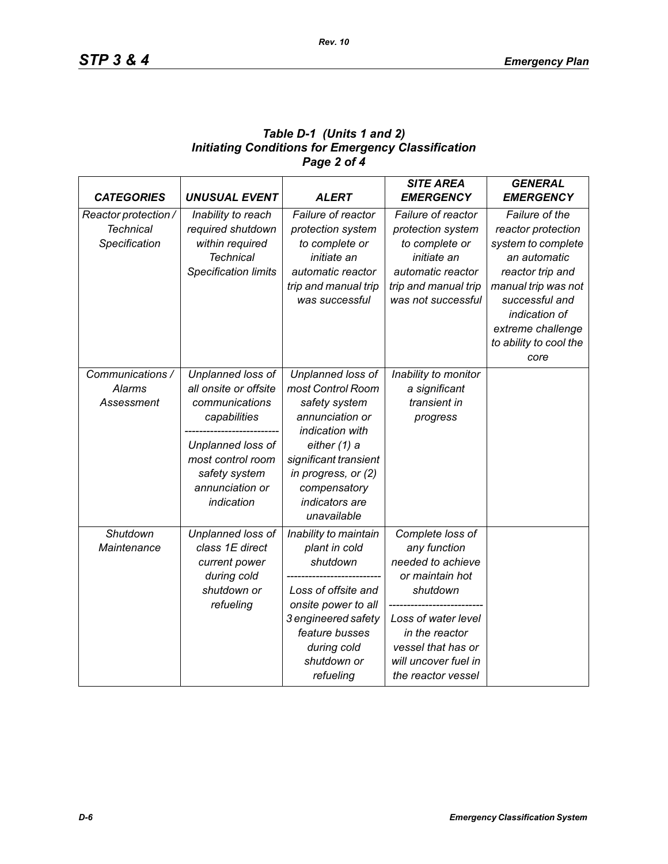## *Table D-1 (Units 1 and 2) Initiating Conditions for Emergency Classification Page 2 of 4*

| <b>CATEGORIES</b>                                         | <b>UNUSUAL EVENT</b>                                                                                                                                                     | <b>ALERT</b>                                                                                                                                                                                                   | <b>SITE AREA</b><br><b>EMERGENCY</b>                                                                                                                                                              | <b>GENERAL</b><br><b>EMERGENCY</b>                                                                                                                                                                      |
|-----------------------------------------------------------|--------------------------------------------------------------------------------------------------------------------------------------------------------------------------|----------------------------------------------------------------------------------------------------------------------------------------------------------------------------------------------------------------|---------------------------------------------------------------------------------------------------------------------------------------------------------------------------------------------------|---------------------------------------------------------------------------------------------------------------------------------------------------------------------------------------------------------|
| Reactor protection /<br><b>Technical</b><br>Specification | Inability to reach<br>required shutdown<br>within required<br><b>Technical</b><br><b>Specification limits</b>                                                            | Failure of reactor<br>protection system<br>to complete or<br>initiate an<br>automatic reactor<br>trip and manual trip<br>was successful                                                                        | Failure of reactor<br>protection system<br>to complete or<br>initiate an<br>automatic reactor<br>trip and manual trip<br>was not successful                                                       | Failure of the<br>reactor protection<br>system to complete<br>an automatic<br>reactor trip and<br>manual trip was not<br>successful and<br>indication of<br>extreme challenge<br>to ability to cool the |
|                                                           |                                                                                                                                                                          |                                                                                                                                                                                                                |                                                                                                                                                                                                   | core                                                                                                                                                                                                    |
| Communications /<br>Alarms<br>Assessment                  | Unplanned loss of<br>all onsite or offsite<br>communications<br>capabilities<br>Unplanned loss of<br>most control room<br>safety system<br>annunciation or<br>indication | Unplanned loss of<br>most Control Room<br>safety system<br>annunciation or<br>indication with<br>either (1) a<br>significant transient<br>in progress, or (2)<br>compensatory<br>indicators are<br>unavailable | Inability to monitor<br>a significant<br>transient in<br>progress                                                                                                                                 |                                                                                                                                                                                                         |
| Shutdown<br>Maintenance                                   | Unplanned loss of<br>class 1E direct<br>current power<br>during cold<br>shutdown or<br>refueling                                                                         | Inability to maintain<br>plant in cold<br>shutdown<br>Loss of offsite and<br>onsite power to all<br>3 engineered safety<br>feature busses<br>during cold<br>shutdown or<br>refueling                           | Complete loss of<br>any function<br>needed to achieve<br>or maintain hot<br>shutdown<br>Loss of water level<br>in the reactor<br>vessel that has or<br>will uncover fuel in<br>the reactor vessel |                                                                                                                                                                                                         |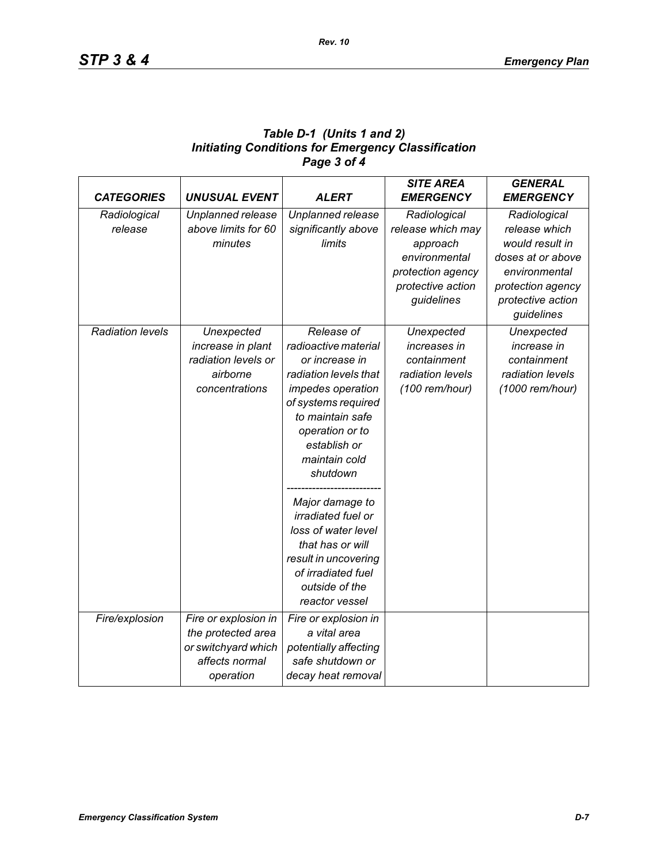| Table D-1 (Units 1 and 2)                                 |
|-----------------------------------------------------------|
| <b>Initiating Conditions for Emergency Classification</b> |
| Page 3 of 4                                               |

| <b>CATEGORIES</b>       | <b>UNUSUAL EVENT</b> | <b>ALERT</b>              | <b>SITE AREA</b><br><b>EMERGENCY</b> | <b>GENERAL</b><br><b>EMERGENCY</b> |
|-------------------------|----------------------|---------------------------|--------------------------------------|------------------------------------|
| Radiological            | Unplanned release    | Unplanned release         | Radiological                         | Radiological                       |
| release                 | above limits for 60  | significantly above       | release which may                    | release which                      |
|                         | minutes              | limits                    | approach                             | would result in                    |
|                         |                      |                           | environmental                        | doses at or above                  |
|                         |                      |                           | protection agency                    | environmental                      |
|                         |                      |                           | protective action                    | protection agency                  |
|                         |                      |                           | guidelines                           | protective action                  |
|                         |                      |                           |                                      | guidelines                         |
| <b>Radiation levels</b> | Unexpected           | Release of                | Unexpected                           | Unexpected                         |
|                         | increase in plant    | radioactive material      | increases in                         | increase in                        |
|                         | radiation levels or  | or increase in            | containment                          | containment                        |
|                         | airborne             | radiation levels that     | radiation levels                     | radiation levels                   |
|                         | concentrations       | impedes operation         | (100 rem/hour)                       | (1000 rem/hour)                    |
|                         |                      | of systems required       |                                      |                                    |
|                         |                      | to maintain safe          |                                      |                                    |
|                         |                      | operation or to           |                                      |                                    |
|                         |                      | establish or              |                                      |                                    |
|                         |                      | maintain cold             |                                      |                                    |
|                         |                      | shutdown                  |                                      |                                    |
|                         |                      | Major damage to           |                                      |                                    |
|                         |                      | <i>irradiated fuel or</i> |                                      |                                    |
|                         |                      | loss of water level       |                                      |                                    |
|                         |                      | that has or will          |                                      |                                    |
|                         |                      | result in uncovering      |                                      |                                    |
|                         |                      | of irradiated fuel        |                                      |                                    |
|                         |                      | outside of the            |                                      |                                    |
|                         |                      | reactor vessel            |                                      |                                    |
| Fire/explosion          | Fire or explosion in | Fire or explosion in      |                                      |                                    |
|                         | the protected area   | a vital area              |                                      |                                    |
|                         | or switchyard which  | potentially affecting     |                                      |                                    |
|                         | affects normal       | safe shutdown or          |                                      |                                    |
|                         | operation            | decay heat removal        |                                      |                                    |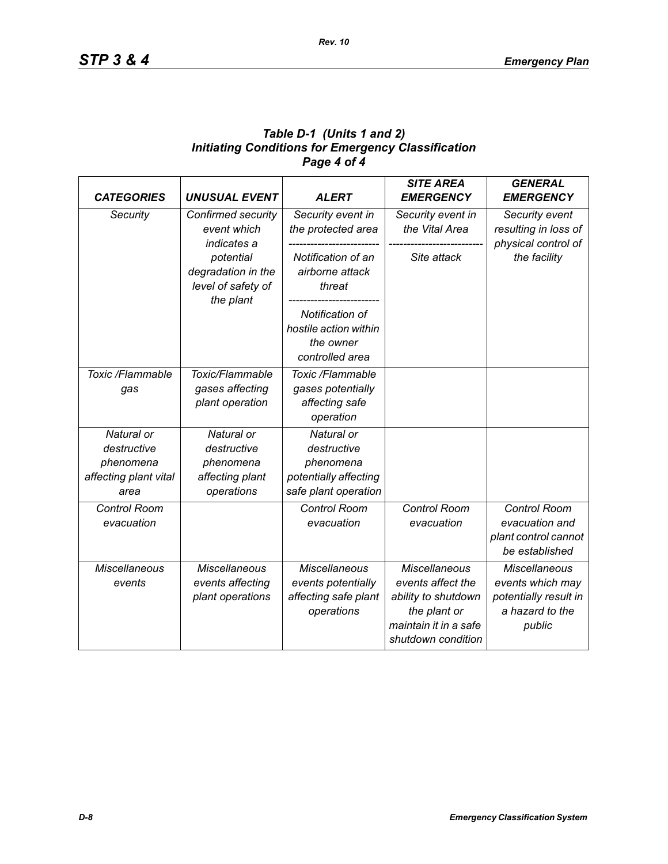## *Table D-1 (Units 1 and 2) Initiating Conditions for Emergency Classification Page 4 of 4*

| <b>CATEGORIES</b>                                                       | <b>UNUSUAL EVENT</b>                                                    | <b>ALERT</b>                                                                            | <b>SITE AREA</b><br><b>EMERGENCY</b>                                                                                            | <b>GENERAL</b><br><b>EMERGENCY</b>                                                             |
|-------------------------------------------------------------------------|-------------------------------------------------------------------------|-----------------------------------------------------------------------------------------|---------------------------------------------------------------------------------------------------------------------------------|------------------------------------------------------------------------------------------------|
| Security                                                                | Confirmed security<br>event which<br>indicates a                        | Security event in<br>the protected area                                                 | Security event in<br>the Vital Area                                                                                             | Security event<br>resulting in loss of<br>physical control of                                  |
|                                                                         | potential<br>degradation in the<br>level of safety of<br>the plant      | Notification of an<br>airborne attack<br>threat                                         | Site attack                                                                                                                     | the facility                                                                                   |
|                                                                         |                                                                         | Notification of<br>hostile action within<br>the owner<br>controlled area                |                                                                                                                                 |                                                                                                |
| Toxic /Flammable<br>gas                                                 | Toxic/Flammable<br>gases affecting<br>plant operation                   | Toxic /Flammable<br>gases potentially<br>affecting safe<br>operation                    |                                                                                                                                 |                                                                                                |
| Natural or<br>destructive<br>phenomena<br>affecting plant vital<br>area | Natural or<br>destructive<br>phenomena<br>affecting plant<br>operations | Natural or<br>destructive<br>phenomena<br>potentially affecting<br>safe plant operation |                                                                                                                                 |                                                                                                |
| Control Room<br>evacuation                                              |                                                                         | <b>Control Room</b><br>evacuation                                                       | Control Room<br>evacuation                                                                                                      | Control Room<br>evacuation and<br>plant control cannot<br>be established                       |
| <b>Miscellaneous</b><br>events                                          | <b>Miscellaneous</b><br>events affecting<br>plant operations            | <b>Miscellaneous</b><br>events potentially<br>affecting safe plant<br>operations        | <b>Miscellaneous</b><br>events affect the<br>ability to shutdown<br>the plant or<br>maintain it in a safe<br>shutdown condition | <b>Miscellaneous</b><br>events which may<br>potentially result in<br>a hazard to the<br>public |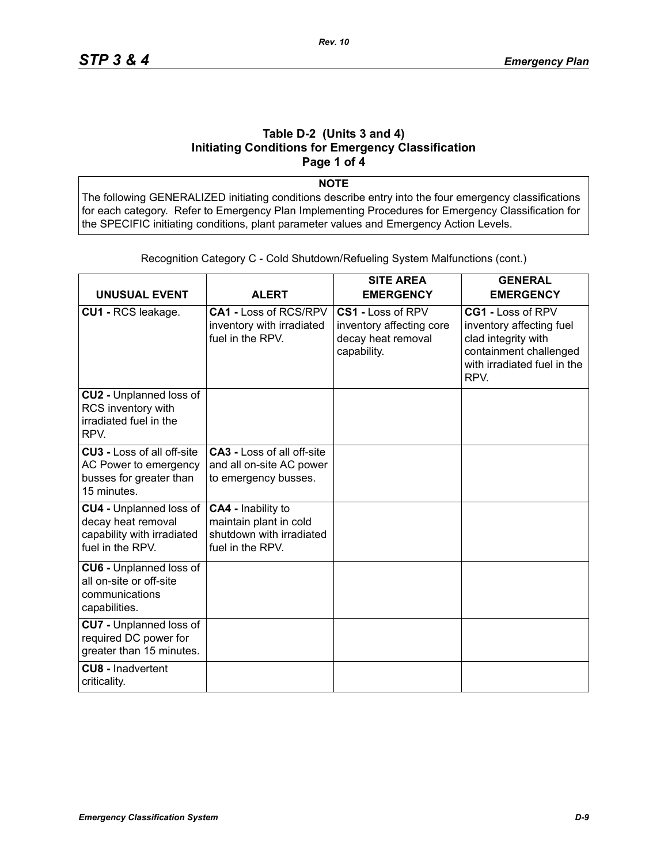### **Table D-2 (Units 3 and 4) Initiating Conditions for Emergency Classification Page 1 of 4**

**NOTE**

The following GENERALIZED initiating conditions describe entry into the four emergency classifications for each category. Refer to Emergency Plan Implementing Procedures for Emergency Classification for the SPECIFIC initiating conditions, plant parameter values and Emergency Action Levels.

| <b>UNUSUAL EVENT</b>                                                                                   | <b>ALERT</b>                                                                                 | <b>SITE AREA</b><br><b>EMERGENCY</b>                                               | <b>GENERAL</b><br><b>EMERGENCY</b>                                                                                                    |
|--------------------------------------------------------------------------------------------------------|----------------------------------------------------------------------------------------------|------------------------------------------------------------------------------------|---------------------------------------------------------------------------------------------------------------------------------------|
| CU1 - RCS leakage.                                                                                     | CA1 - Loss of RCS/RPV<br>inventory with irradiated<br>fuel in the RPV.                       | CS1 - Loss of RPV<br>inventory affecting core<br>decay heat removal<br>capability. | CG1 - Loss of RPV<br>inventory affecting fuel<br>clad integrity with<br>containment challenged<br>with irradiated fuel in the<br>RPV. |
| CU2 - Unplanned loss of<br>RCS inventory with<br>irradiated fuel in the<br>RPV.                        |                                                                                              |                                                                                    |                                                                                                                                       |
| <b>CU3 - Loss of all off-site</b><br>AC Power to emergency<br>busses for greater than<br>15 minutes.   | <b>CA3 - Loss of all off-site</b><br>and all on-site AC power<br>to emergency busses.        |                                                                                    |                                                                                                                                       |
| <b>CU4 - Unplanned loss of</b><br>decay heat removal<br>capability with irradiated<br>fuel in the RPV. | CA4 - Inability to<br>maintain plant in cold<br>shutdown with irradiated<br>fuel in the RPV. |                                                                                    |                                                                                                                                       |
| <b>CU6 - Unplanned loss of</b><br>all on-site or off-site<br>communications<br>capabilities.           |                                                                                              |                                                                                    |                                                                                                                                       |
| <b>CU7</b> - Unplanned loss of<br>required DC power for<br>greater than 15 minutes.                    |                                                                                              |                                                                                    |                                                                                                                                       |
| <b>CU8 - Inadvertent</b><br>criticality.                                                               |                                                                                              |                                                                                    |                                                                                                                                       |

Recognition Category C - Cold Shutdown/Refueling System Malfunctions (cont.)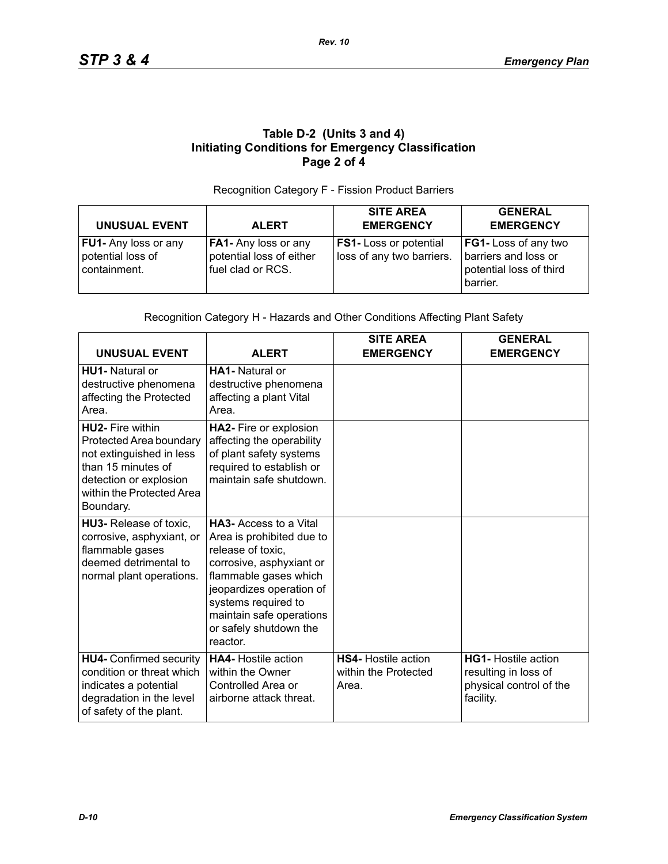## **Table D-2 (Units 3 and 4) Initiating Conditions for Emergency Classification Page 2 of 4**

#### Recognition Category F - Fission Product Barriers

|                                                                  |                                                                       | <b>SITE AREA</b>                                           | <b>GENERAL</b>                                                                      |
|------------------------------------------------------------------|-----------------------------------------------------------------------|------------------------------------------------------------|-------------------------------------------------------------------------------------|
| <b>UNUSUAL EVENT</b>                                             | <b>ALERT</b>                                                          | <b>EMERGENCY</b>                                           | <b>EMERGENCY</b>                                                                    |
| <b>FU1-</b> Any loss or any<br>potential loss of<br>containment. | FA1- Any loss or any<br>potential loss of either<br>fuel clad or RCS. | <b>FS1-</b> Loss or potential<br>loss of any two barriers. | FG1- Loss of any two<br>barriers and loss or<br>potential loss of third<br>barrier. |

#### Recognition Category H - Hazards and Other Conditions Affecting Plant Safety

| <b>UNUSUAL EVENT</b>                                                                                                                                                     | <b>ALERT</b>                                                                                                                                                                                                                                             | <b>SITE AREA</b><br><b>EMERGENCY</b>                        | <b>GENERAL</b><br><b>EMERGENCY</b>                                                         |
|--------------------------------------------------------------------------------------------------------------------------------------------------------------------------|----------------------------------------------------------------------------------------------------------------------------------------------------------------------------------------------------------------------------------------------------------|-------------------------------------------------------------|--------------------------------------------------------------------------------------------|
| <b>HU1-</b> Natural or<br>destructive phenomena<br>affecting the Protected<br>Area.                                                                                      | <b>HA1-</b> Natural or<br>destructive phenomena<br>affecting a plant Vital<br>Area.                                                                                                                                                                      |                                                             |                                                                                            |
| <b>HU2-</b> Fire within<br>Protected Area boundary<br>not extinguished in less<br>than 15 minutes of<br>detection or explosion<br>within the Protected Area<br>Boundary. | HA2- Fire or explosion<br>affecting the operability<br>of plant safety systems<br>required to establish or<br>maintain safe shutdown.                                                                                                                    |                                                             |                                                                                            |
| HU3- Release of toxic,<br>corrosive, asphyxiant, or<br>flammable gases<br>deemed detrimental to<br>normal plant operations.                                              | <b>HA3-Access to a Vital</b><br>Area is prohibited due to<br>release of toxic,<br>corrosive, asphyxiant or<br>flammable gases which<br>jeopardizes operation of<br>systems required to<br>maintain safe operations<br>or safely shutdown the<br>reactor. |                                                             |                                                                                            |
| <b>HU4- Confirmed security</b><br>condition or threat which<br>indicates a potential<br>degradation in the level<br>of safety of the plant.                              | <b>HA4-</b> Hostile action<br>within the Owner<br>Controlled Area or<br>airborne attack threat.                                                                                                                                                          | <b>HS4-</b> Hostile action<br>within the Protected<br>Area. | <b>HG1-</b> Hostile action<br>resulting in loss of<br>physical control of the<br>facility. |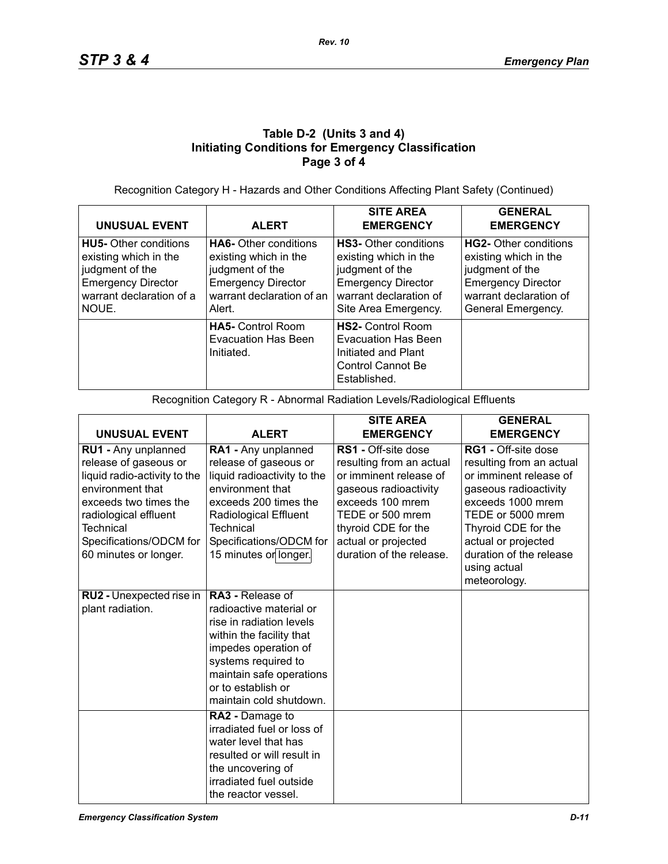## **Table D-2 (Units 3 and 4) Initiating Conditions for Emergency Classification Page 3 of 4**

Recognition Category H - Hazards and Other Conditions Affecting Plant Safety (Continued)

| <b>UNUSUAL EVENT</b>                                                                                                                       | <b>ALERT</b>                                                                                                                                 | <b>SITE AREA</b><br><b>EMERGENCY</b>                                                                                                                    | <b>GENERAL</b><br><b>EMERGENCY</b>                                                                                                             |
|--------------------------------------------------------------------------------------------------------------------------------------------|----------------------------------------------------------------------------------------------------------------------------------------------|---------------------------------------------------------------------------------------------------------------------------------------------------------|------------------------------------------------------------------------------------------------------------------------------------------------|
| <b>HU5-</b> Other conditions<br>existing which in the<br>judgment of the<br><b>Emergency Director</b><br>warrant declaration of a<br>NOUE. | <b>HA6-</b> Other conditions<br>existing which in the<br>judgment of the<br><b>Emergency Director</b><br>warrant declaration of an<br>Alert. | <b>HS3-</b> Other conditions<br>existing which in the<br>judgment of the<br><b>Emergency Director</b><br>warrant declaration of<br>Site Area Emergency. | HG2- Other conditions<br>existing which in the<br>judgment of the<br><b>Emergency Director</b><br>warrant declaration of<br>General Emergency. |
|                                                                                                                                            | <b>HA5-</b> Control Room<br><b>Evacuation Has Been</b><br>Initiated.                                                                         | <b>HS2-</b> Control Room<br>Evacuation Has Been<br>Initiated and Plant<br>Control Cannot Be<br>Established.                                             |                                                                                                                                                |

Recognition Category R - Abnormal Radiation Levels/Radiological Effluents

|                                                                                                                                                                                                                            |                                                                                                                                                                                                                                  | <b>SITE AREA</b>                                                                                                                                                                                                            | <b>GENERAL</b>                                                                                                                                                                                                                                               |
|----------------------------------------------------------------------------------------------------------------------------------------------------------------------------------------------------------------------------|----------------------------------------------------------------------------------------------------------------------------------------------------------------------------------------------------------------------------------|-----------------------------------------------------------------------------------------------------------------------------------------------------------------------------------------------------------------------------|--------------------------------------------------------------------------------------------------------------------------------------------------------------------------------------------------------------------------------------------------------------|
| <b>UNUSUAL EVENT</b>                                                                                                                                                                                                       | <b>ALERT</b>                                                                                                                                                                                                                     | <b>EMERGENCY</b>                                                                                                                                                                                                            | <b>EMERGENCY</b>                                                                                                                                                                                                                                             |
| RU1 - Any unplanned<br>release of gaseous or<br>liquid radio-activity to the<br>environment that<br>exceeds two times the<br>radiological effluent<br><b>Technical</b><br>Specifications/ODCM for<br>60 minutes or longer. | RA1 - Any unplanned<br>release of gaseous or<br>liquid radioactivity to the<br>environment that<br>exceeds 200 times the<br><b>Radiological Effluent</b><br><b>Technical</b><br>Specifications/ODCM for<br>15 minutes or longer. | <b>RS1</b> - Off-site dose<br>resulting from an actual<br>or imminent release of<br>gaseous radioactivity<br>exceeds 100 mrem<br>TEDE or 500 mrem<br>thyroid CDE for the<br>actual or projected<br>duration of the release. | <b>RG1 - Off-site dose</b><br>resulting from an actual<br>or imminent release of<br>gaseous radioactivity<br>exceeds 1000 mrem<br>TEDE or 5000 mrem<br>Thyroid CDE for the<br>actual or projected<br>duration of the release<br>using actual<br>meteorology. |
| RU2 - Unexpected rise in<br>plant radiation.                                                                                                                                                                               | RA3 - Release of<br>radioactive material or<br>rise in radiation levels<br>within the facility that<br>impedes operation of<br>systems required to<br>maintain safe operations<br>or to establish or<br>maintain cold shutdown.  |                                                                                                                                                                                                                             |                                                                                                                                                                                                                                                              |
|                                                                                                                                                                                                                            | RA2 - Damage to<br>irradiated fuel or loss of<br>water level that has<br>resulted or will result in<br>the uncovering of<br>irradiated fuel outside<br>the reactor vessel.                                                       |                                                                                                                                                                                                                             |                                                                                                                                                                                                                                                              |